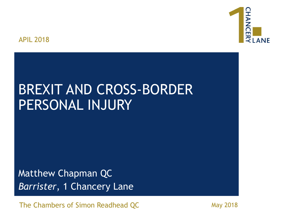

#### APIL 2018

# BREXIT AND CROSS-BORDER PERSONAL INJURY

Matthew Chapman QC *Barrister*, 1 Chancery Lane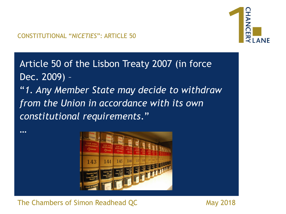Article 50 of the Lisbon Treaty 2007 (in force Dec. 2009) – "*1. Any Member State may decide to withdraw from the Union in accordance with its own constitutional requirements*."



The Chambers of Simon Readhead QC May 2018

…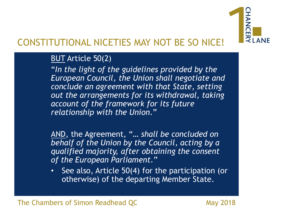

#### CONSTITUTIONAL NICETIES MAY NOT BE SO NICE!

#### BUT Article 50(2)

"*In the light of the guidelines provided by the European Council, the Union shall negotiate and conclude an agreement with that State, setting out the arrangements for its withdrawal, taking account of the framework for its future relationship with the Union*."

AND, the Agreement, "… *shall be concluded on behalf of the Union by the Council, acting by a qualified majority, after obtaining the consent of the European Parliament*."

• See also, Article 50(4) for the participation (or otherwise) of the departing Member State.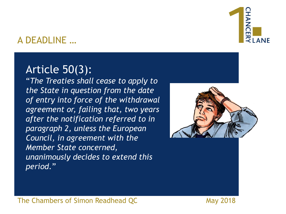# $\overline{z}$  | ANF

#### A DEADLINE …

# Article 50(3):

"*The Treaties shall cease to apply to the State in question from the date of entry into force of the withdrawal agreement or, failing that, two years after the notification referred to in paragraph 2, unless the European Council, in agreement with the Member State concerned, unanimously decides to extend this period*."

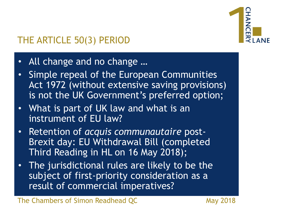

# THE ARTICLE 50(3) PERIOD

- All change and no change …
- Simple repeal of the European Communities Act 1972 (without extensive saving provisions) is not the UK Government's preferred option;
- What is part of UK law and what is an instrument of EU law?
- Retention of *acquis communautaire* post-Brexit day: EU Withdrawal Bill (completed Third Reading in HL on 16 May 2018);
- The jurisdictional rules are likely to be the subject of first-priority consideration as a result of commercial imperatives?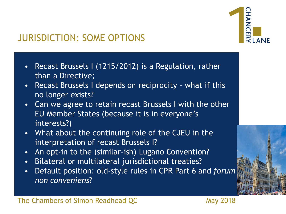

## JURISDICTION: SOME OPTIONS

- Recast Brussels I (1215/2012) is a Regulation, rather than a Directive;
- Recast Brussels I depends on reciprocity what if this no longer exists?
- Can we agree to retain recast Brussels I with the other EU Member States (because it is in everyone's interests?)
- What about the continuing role of the CJEU in the interpretation of recast Brussels I?
- An opt-in to the (similar-ish) Lugano Convention?
- Bilateral or multilateral jurisdictional treaties?
- Default position: old-style rules in CPR Part 6 and *forum non conveniens*?

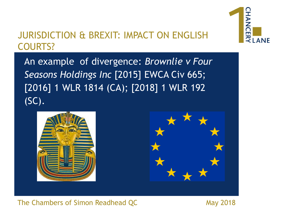#### JURISDICTION & BREXIT: IMPACT ON ENGLISH COURTS?



An example of divergence: *Brownlie v Four Seasons Holdings Inc* [2015] EWCA Civ 665; [2016] 1 WLR 1814 (CA); [2018] 1 WLR 192 (SC).

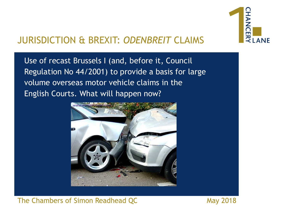

### JURISDICTION & BREXIT: *ODENBREIT* CLAIMS

Use of recast Brussels I (and, before it, Council Regulation No 44/2001) to provide a basis for large volume overseas motor vehicle claims in the English Courts. What will happen now?

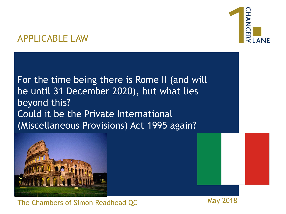# $\frac{2}{3}$  ANF

#### APPLICABLE LAW

For the time being there is Rome II (and will be until 31 December 2020), but what lies beyond this? Could it be the Private International (Miscellaneous Provisions) Act 1995 again?

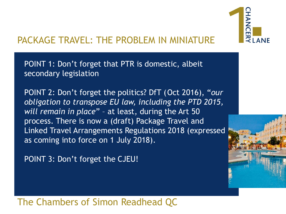

# PACKAGE TRAVEL: THE PROBLEM IN MINIATURE

POINT 1: Don't forget that PTR is domestic, albeit secondary legislation

POINT 2: Don't forget the politics? DfT (Oct 2016), "*our obligation to transpose EU law, including the PTD 2015, will remain in place*" – at least, during the Art 50 process. There is now a (draft) Package Travel and Linked Travel Arrangements Regulations 2018 (expressed as coming into force on 1 July 2018).

POINT 3: Don't forget the CJEU!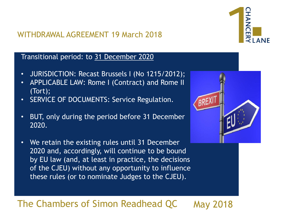#### WITHDRAWAL AGREEMENT 19 March 2018



#### Transitional period: to 31 December 2020

- JURISDICTION: Recast Brussels I (No 1215/2012);
- APPLICABLE LAW: Rome I (Contract) and Rome II (Tort);
- SERVICE OF DOCUMENTS: Service Regulation.
- BUT, only during the period before 31 December 2020.
- We retain the existing rules until 31 December 2020 and, accordingly, will continue to be bound by EU law (and, at least in practice, the decisions of the CJEU) without any opportunity to influence these rules (or to nominate Judges to the CJEU).